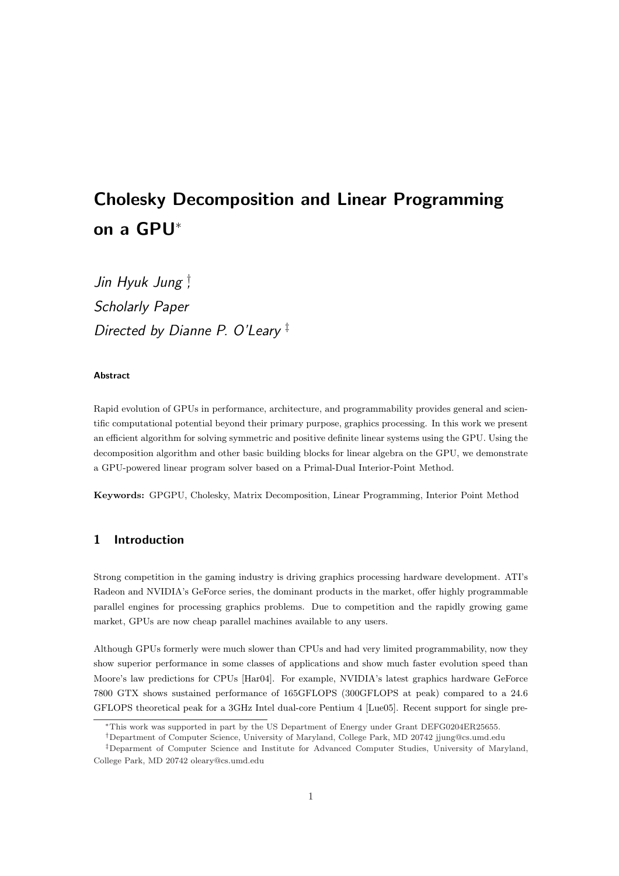# Cholesky Decomposition and Linear Programming on a GPU<sup>∗</sup>

Jin Hyuk Jung † , Scholarly Paper Directed by Dianne P. O'Leary<sup>‡</sup>

#### Abstract

Rapid evolution of GPUs in performance, architecture, and programmability provides general and scientific computational potential beyond their primary purpose, graphics processing. In this work we present an efficient algorithm for solving symmetric and positive definite linear systems using the GPU. Using the decomposition algorithm and other basic building blocks for linear algebra on the GPU, we demonstrate a GPU-powered linear program solver based on a Primal-Dual Interior-Point Method.

Keywords: GPGPU, Cholesky, Matrix Decomposition, Linear Programming, Interior Point Method

# 1 Introduction

Strong competition in the gaming industry is driving graphics processing hardware development. ATI's Radeon and NVIDIA's GeForce series, the dominant products in the market, offer highly programmable parallel engines for processing graphics problems. Due to competition and the rapidly growing game market, GPUs are now cheap parallel machines available to any users.

Although GPUs formerly were much slower than CPUs and had very limited programmability, now they show superior performance in some classes of applications and show much faster evolution speed than Moore's law predictions for CPUs [Har04]. For example, NVIDIA's latest graphics hardware GeForce 7800 GTX shows sustained performance of 165GFLOPS (300GFLOPS at peak) compared to a 24.6 GFLOPS theoretical peak for a 3GHz Intel dual-core Pentium 4 [Lue05]. Recent support for single pre-

<sup>∗</sup>This work was supported in part by the US Department of Energy under Grant DEFG0204ER25655.

<sup>†</sup>Department of Computer Science, University of Maryland, College Park, MD 20742 jjung@cs.umd.edu

<sup>‡</sup>Deparment of Computer Science and Institute for Advanced Computer Studies, University of Maryland, College Park, MD 20742 oleary@cs.umd.edu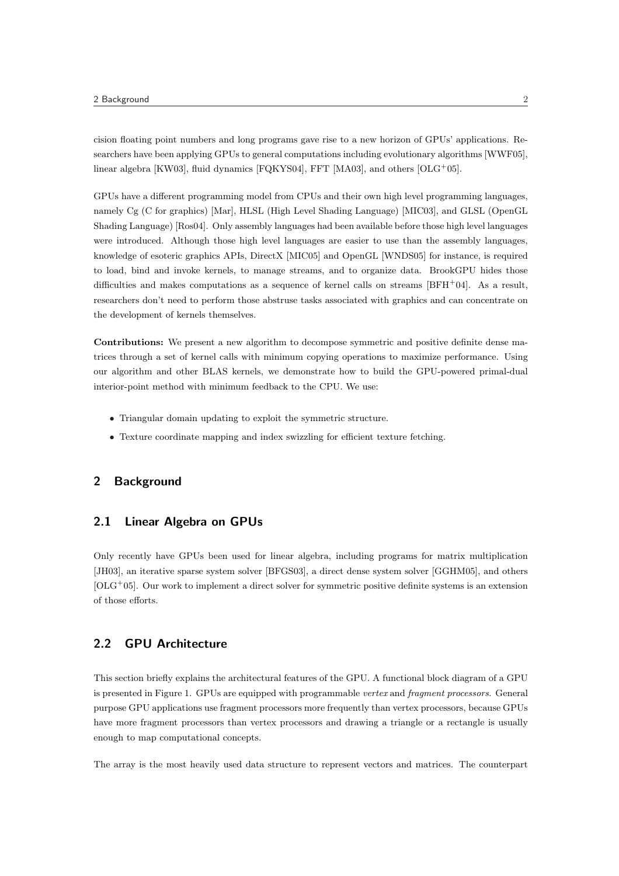cision floating point numbers and long programs gave rise to a new horizon of GPUs' applications. Researchers have been applying GPUs to general computations including evolutionary algorithms [WWF05], linear algebra [KW03], fluid dynamics [FQKYS04], FFT [MA03], and others  $[OLG^+05]$ .

GPUs have a different programming model from CPUs and their own high level programming languages, namely Cg (C for graphics) [Mar], HLSL (High Level Shading Language) [MIC03], and GLSL (OpenGL Shading Language) [Ros04]. Only assembly languages had been available before those high level languages were introduced. Although those high level languages are easier to use than the assembly languages, knowledge of esoteric graphics APIs, DirectX [MIC05] and OpenGL [WNDS05] for instance, is required to load, bind and invoke kernels, to manage streams, and to organize data. BrookGPU hides those difficulties and makes computations as a sequence of kernel calls on streams  $[BFH^+04]$ . As a result, researchers don't need to perform those abstruse tasks associated with graphics and can concentrate on the development of kernels themselves.

Contributions: We present a new algorithm to decompose symmetric and positive definite dense matrices through a set of kernel calls with minimum copying operations to maximize performance. Using our algorithm and other BLAS kernels, we demonstrate how to build the GPU-powered primal-dual interior-point method with minimum feedback to the CPU. We use:

- Triangular domain updating to exploit the symmetric structure.
- Texture coordinate mapping and index swizzling for efficient texture fetching.

## 2 Background

## 2.1 Linear Algebra on GPUs

Only recently have GPUs been used for linear algebra, including programs for matrix multiplication [JH03], an iterative sparse system solver [BFGS03], a direct dense system solver [GGHM05], and others  $[OLG<sup>+</sup>05]$ . Our work to implement a direct solver for symmetric positive definite systems is an extension of those efforts.

## 2.2 GPU Architecture

This section briefly explains the architectural features of the GPU. A functional block diagram of a GPU is presented in Figure 1. GPUs are equipped with programmable vertex and fragment processors. General purpose GPU applications use fragment processors more frequently than vertex processors, because GPUs have more fragment processors than vertex processors and drawing a triangle or a rectangle is usually enough to map computational concepts.

The array is the most heavily used data structure to represent vectors and matrices. The counterpart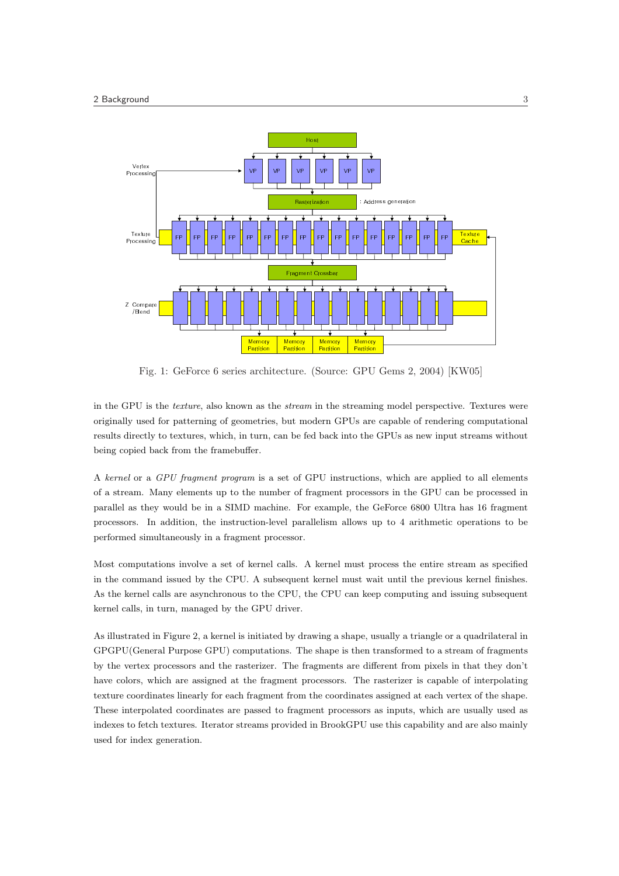

Fig. 1: GeForce 6 series architecture. (Source: GPU Gems 2, 2004) [KW05]

in the GPU is the texture, also known as the stream in the streaming model perspective. Textures were originally used for patterning of geometries, but modern GPUs are capable of rendering computational results directly to textures, which, in turn, can be fed back into the GPUs as new input streams without being copied back from the framebuffer.

A kernel or a GPU fragment program is a set of GPU instructions, which are applied to all elements of a stream. Many elements up to the number of fragment processors in the GPU can be processed in parallel as they would be in a SIMD machine. For example, the GeForce 6800 Ultra has 16 fragment processors. In addition, the instruction-level parallelism allows up to 4 arithmetic operations to be performed simultaneously in a fragment processor.

Most computations involve a set of kernel calls. A kernel must process the entire stream as specified in the command issued by the CPU. A subsequent kernel must wait until the previous kernel finishes. As the kernel calls are asynchronous to the CPU, the CPU can keep computing and issuing subsequent kernel calls, in turn, managed by the GPU driver.

As illustrated in Figure 2, a kernel is initiated by drawing a shape, usually a triangle or a quadrilateral in GPGPU(General Purpose GPU) computations. The shape is then transformed to a stream of fragments by the vertex processors and the rasterizer. The fragments are different from pixels in that they don't have colors, which are assigned at the fragment processors. The rasterizer is capable of interpolating texture coordinates linearly for each fragment from the coordinates assigned at each vertex of the shape. These interpolated coordinates are passed to fragment processors as inputs, which are usually used as indexes to fetch textures. Iterator streams provided in BrookGPU use this capability and are also mainly used for index generation.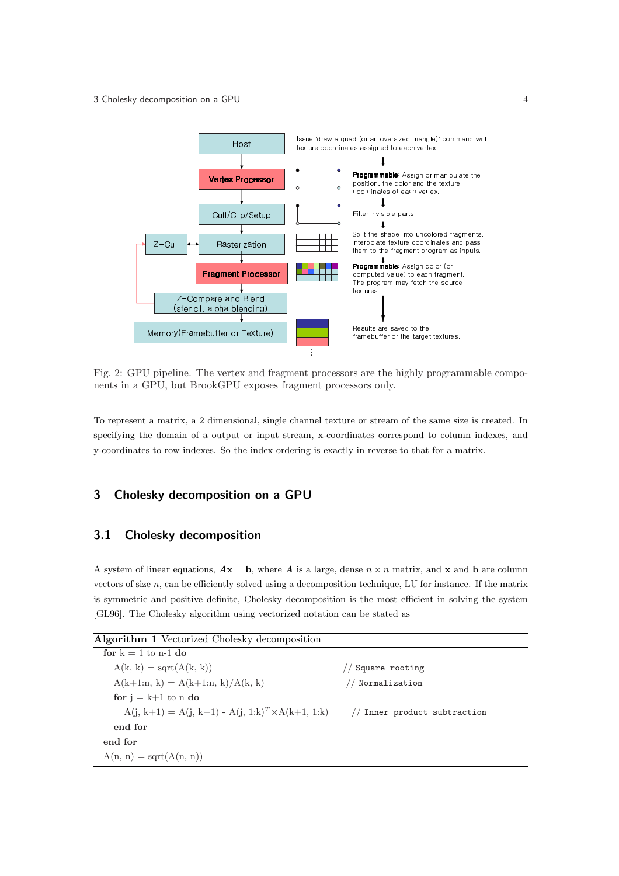

Fig. 2: GPU pipeline. The vertex and fragment processors are the highly programmable components in a GPU, but BrookGPU exposes fragment processors only.

To represent a matrix, a 2 dimensional, single channel texture or stream of the same size is created. In specifying the domain of a output or input stream, x-coordinates correspond to column indexes, and y-coordinates to row indexes. So the index ordering is exactly in reverse to that for a matrix.

# 3 Cholesky decomposition on a GPU

# 3.1 Cholesky decomposition

A system of linear equations,  $A\mathbf{x} = \mathbf{b}$ , where A is a large, dense  $n \times n$  matrix, and x and b are column vectors of size n, can be efficiently solved using a decomposition technique, LU for instance. If the matrix is symmetric and positive definite, Cholesky decomposition is the most efficient in solving the system [GL96]. The Cholesky algorithm using vectorized notation can be stated as

| <b>Algorithm 1</b> Vectorized Cholesky decomposition                                  |                |
|---------------------------------------------------------------------------------------|----------------|
| for $k = 1$ to n-1 do                                                                 |                |
| $A(k, k) = \text{sqrt}(A(k, k))$                                                      | Square rooting |
| $A(k+1:n, k) = A(k+1:n, k)/A(k, k)$                                                   | Normalization  |
| for $j = k+1$ to n do                                                                 |                |
| $A(i, k+1) = A(i, k+1) - A(i, 1:k)^T \times A(k+1, 1:k)$ // Inner product subtraction |                |
| end for                                                                               |                |
| end for                                                                               |                |
| $A(n, n) = \text{sqrt}(A(n, n))$                                                      |                |
|                                                                                       |                |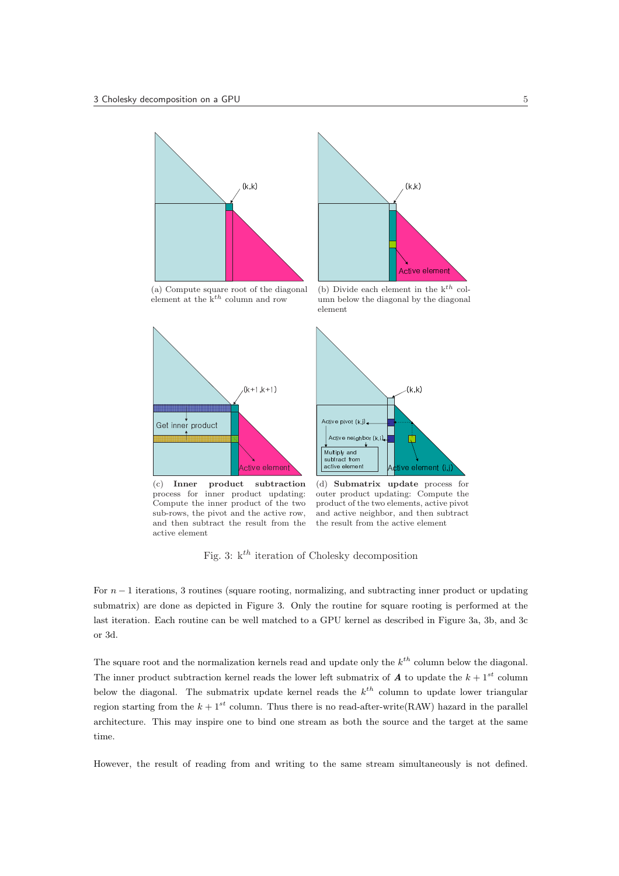



(a) Compute square root of the diagonal element at the  $k^{th}$  column and row

(b) Divide each element in the  $k^{th}$  column below the diagonal by the diagonal element



Compute the inner product of the two sub-rows, the pivot and the active row, and then subtract the result from the active element

outer product updating: Compute the product of the two elements, active pivot and active neighbor, and then subtract the result from the active element

Fig. 3:  $k^{th}$  iteration of Cholesky decomposition

For  $n-1$  iterations, 3 routines (square rooting, normalizing, and subtracting inner product or updating submatrix) are done as depicted in Figure 3. Only the routine for square rooting is performed at the last iteration. Each routine can be well matched to a GPU kernel as described in Figure 3a, 3b, and 3c or 3d.

The square root and the normalization kernels read and update only the  $k^{th}$  column below the diagonal. The inner product subtraction kernel reads the lower left submatrix of  $A$  to update the  $k + 1^{st}$  column below the diagonal. The submatrix update kernel reads the  $k^{th}$  column to update lower triangular region starting from the  $k + 1^{st}$  column. Thus there is no read-after-write(RAW) hazard in the parallel architecture. This may inspire one to bind one stream as both the source and the target at the same time.

However, the result of reading from and writing to the same stream simultaneously is not defined.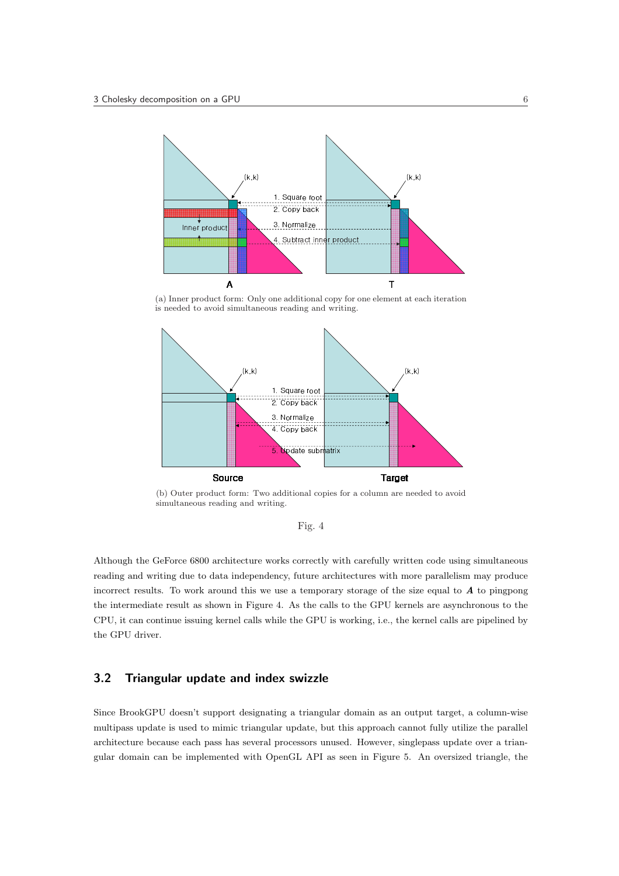

(a) Inner product form: Only one additional copy for one element at each iteration is needed to avoid simultaneous reading and writing.



(b) Outer product form: Two additional copies for a column are needed to avoid simultaneous reading and writing.

Although the GeForce 6800 architecture works correctly with carefully written code using simultaneous reading and writing due to data independency, future architectures with more parallelism may produce incorrect results. To work around this we use a temporary storage of the size equal to  $A$  to pingpong the intermediate result as shown in Figure 4. As the calls to the GPU kernels are asynchronous to the CPU, it can continue issuing kernel calls while the GPU is working, i.e., the kernel calls are pipelined by the GPU driver.

## 3.2 Triangular update and index swizzle

Since BrookGPU doesn't support designating a triangular domain as an output target, a column-wise multipass update is used to mimic triangular update, but this approach cannot fully utilize the parallel architecture because each pass has several processors unused. However, singlepass update over a triangular domain can be implemented with OpenGL API as seen in Figure 5. An oversized triangle, the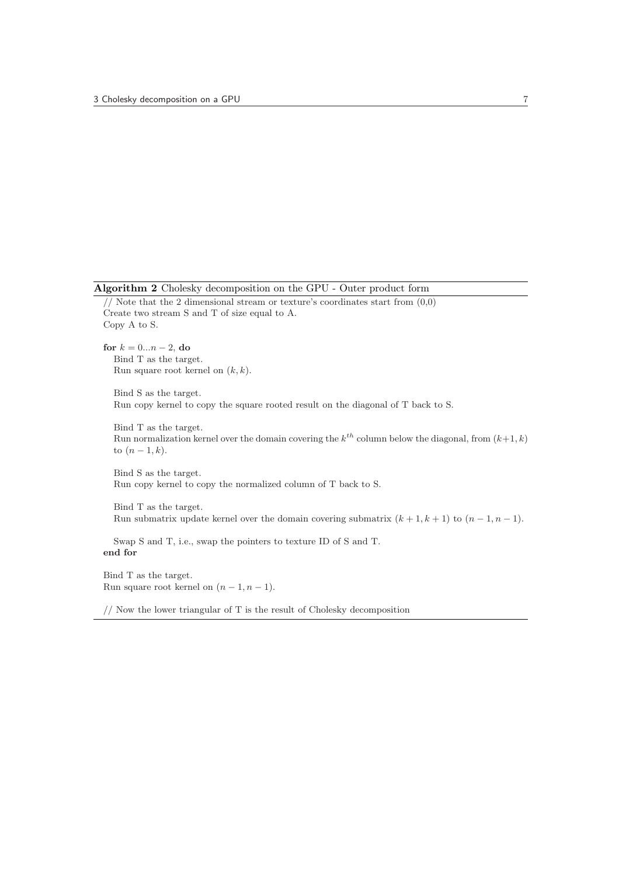Algorithm 2 Cholesky decomposition on the GPU - Outer product form

```
// Note that the 2 dimensional stream or texture's coordinates start from (0,0)Create two stream S and T of size equal to A.
Copy A to S.
for k = 0...n - 2, do
  Bind T as the target.
  Run square root kernel on (k, k).
  Bind S as the target.
  Run copy kernel to copy the square rooted result on the diagonal of T back to S.
  Bind T as the target.
  Run normalization kernel over the domain covering the k^{th} column below the diagonal, from (k+1, k)to (n-1, k).
  Bind S as the target.
  Run copy kernel to copy the normalized column of T back to S.
  Bind T as the target.
  Run submatrix update kernel over the domain covering submatrix (k + 1, k + 1) to (n - 1, n - 1).
  Swap S and T, i.e., swap the pointers to texture ID of S and T.
end for
Bind T as the target.
```

```
Run square root kernel on (n-1, n-1).
```
// Now the lower triangular of T is the result of Cholesky decomposition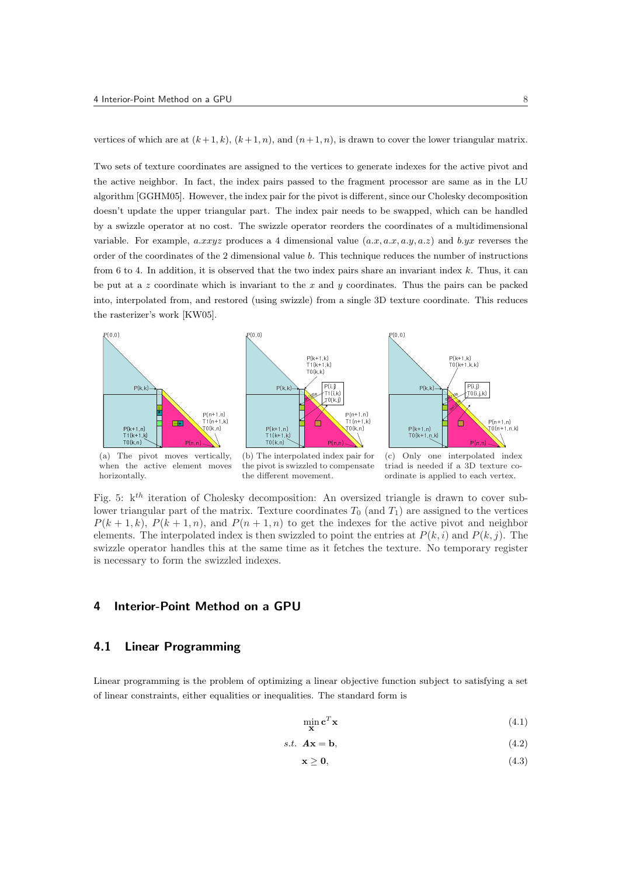vertices of which are at  $(k+1, k)$ ,  $(k+1, n)$ , and  $(n+1, n)$ , is drawn to cover the lower triangular matrix.

Two sets of texture coordinates are assigned to the vertices to generate indexes for the active pivot and the active neighbor. In fact, the index pairs passed to the fragment processor are same as in the LU algorithm [GGHM05]. However, the index pair for the pivot is different, since our Cholesky decomposition doesn't update the upper triangular part. The index pair needs to be swapped, which can be handled by a swizzle operator at no cost. The swizzle operator reorders the coordinates of a multidimensional variable. For example, a.xxyz produces a 4 dimensional value  $(a.x, a.x, a.y, a.z)$  and b.yx reverses the order of the coordinates of the 2 dimensional value b. This technique reduces the number of instructions from 6 to 4. In addition, it is observed that the two index pairs share an invariant index  $k$ . Thus, it can be put at a z coordinate which is invariant to the x and y coordinates. Thus the pairs can be packed into, interpolated from, and restored (using swizzle) from a single 3D texture coordinate. This reduces the rasterizer's work [KW05].



when the active element moves horizontally.

the pivot is swizzled to compensate the different movement.

triad is needed if a 3D texture coordinate is applied to each vertex.

Fig. 5:  $k^{th}$  iteration of Cholesky decomposition: An oversized triangle is drawn to cover sublower triangular part of the matrix. Texture coordinates  $T_0$  (and  $T_1$ ) are assigned to the vertices  $P(k + 1, k)$ ,  $P(k + 1, n)$ , and  $P(n + 1, n)$  to get the indexes for the active pivot and neighbor elements. The interpolated index is then swizzled to point the entries at  $P(k, i)$  and  $P(k, j)$ . The swizzle operator handles this at the same time as it fetches the texture. No temporary register is necessary to form the swizzled indexes.

## 4 Interior-Point Method on a GPU

# 4.1 Linear Programming

Linear programming is the problem of optimizing a linear objective function subject to satisfying a set of linear constraints, either equalities or inequalities. The standard form is

$$
\min_{\mathbf{x}} \mathbf{c}^T \mathbf{x} \tag{4.1}
$$

$$
s.t. \mathbf{A}\mathbf{x} = \mathbf{b},\tag{4.2}
$$

$$
\mathbf{x} \ge \mathbf{0},\tag{4.3}
$$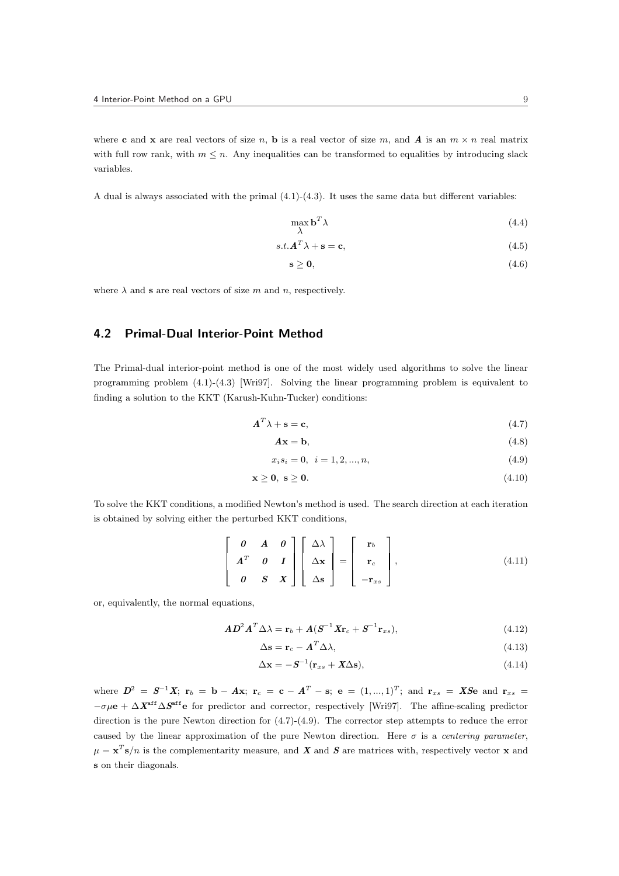A dual is always associated with the primal (4.1)-(4.3). It uses the same data but different variables:

$$
\max_{\lambda} \mathbf{b}^T \lambda \tag{4.4}
$$

$$
s.t. \mathbf{A}^T \lambda + \mathbf{s} = \mathbf{c},\tag{4.5}
$$

$$
s \geq 0,\tag{4.6}
$$

where  $\lambda$  and **s** are real vectors of size m and n, respectively.

# 4.2 Primal-Dual Interior-Point Method

The Primal-dual interior-point method is one of the most widely used algorithms to solve the linear programming problem (4.1)-(4.3) [Wri97]. Solving the linear programming problem is equivalent to finding a solution to the KKT (Karush-Kuhn-Tucker) conditions:

$$
A^T \lambda + \mathbf{s} = \mathbf{c},\tag{4.7}
$$

$$
A\mathbf{x} = \mathbf{b},\tag{4.8}
$$

$$
x_i s_i = 0, \quad i = 1, 2, ..., n,
$$
\n
$$
(4.9)
$$

$$
\mathbf{x} \geq \mathbf{0}, \ \mathbf{s} \geq \mathbf{0}.\tag{4.10}
$$

To solve the KKT conditions, a modified Newton's method is used. The search direction at each iteration is obtained by solving either the perturbed KKT conditions,

$$
\begin{bmatrix}\n\mathbf{0} & \mathbf{A} & \mathbf{0} \\
\mathbf{A}^T & \mathbf{0} & \mathbf{I} \\
\mathbf{0} & \mathbf{S} & \mathbf{X}\n\end{bmatrix}\n\begin{bmatrix}\n\Delta\lambda \\
\Delta\mathbf{x} \\
\Delta\mathbf{s}\n\end{bmatrix} = \begin{bmatrix}\n\mathbf{r}_b \\
\mathbf{r}_c \\
-\mathbf{r}_{xs}\n\end{bmatrix},
$$
\n(4.11)

or, equivalently, the normal equations,

$$
AD2AT \Delta \lambda = \mathbf{r}_b + A(S-1 X \mathbf{r}_c + S-1 \mathbf{r}_{xs}),
$$
\n(4.12)

$$
\Delta \mathbf{s} = \mathbf{r}_c - \mathbf{A}^T \Delta \lambda,\tag{4.13}
$$

$$
\Delta \mathbf{x} = -\mathbf{S}^{-1}(\mathbf{r}_{xs} + \mathbf{X}\Delta \mathbf{s}),\tag{4.14}
$$

where  $D^2 = S^{-1}X$ ;  ${\bf r}_b = {\bf b} - A{\bf x}$ ;  ${\bf r}_c = {\bf c} - A^T - {\bf s}$ ;  ${\bf e} = (1,...,1)^T$ ; and  ${\bf r}_{xs} = X S {\bf e}$  and  ${\bf r}_{xs} =$  $-\sigma\mu$ e +  $\Delta \mathbf{X}^{\text{aff}}\Delta \mathbf{S}^{\text{aff}}$  for predictor and corrector, respectively [Wri97]. The affine-scaling predictor direction is the pure Newton direction for (4.7)-(4.9). The corrector step attempts to reduce the error caused by the linear approximation of the pure Newton direction. Here  $\sigma$  is a *centering parameter*,  $\mu = \mathbf{x}^T \mathbf{s}/n$  is the complementarity measure, and X and S are matrices with, respectively vector x and s on their diagonals.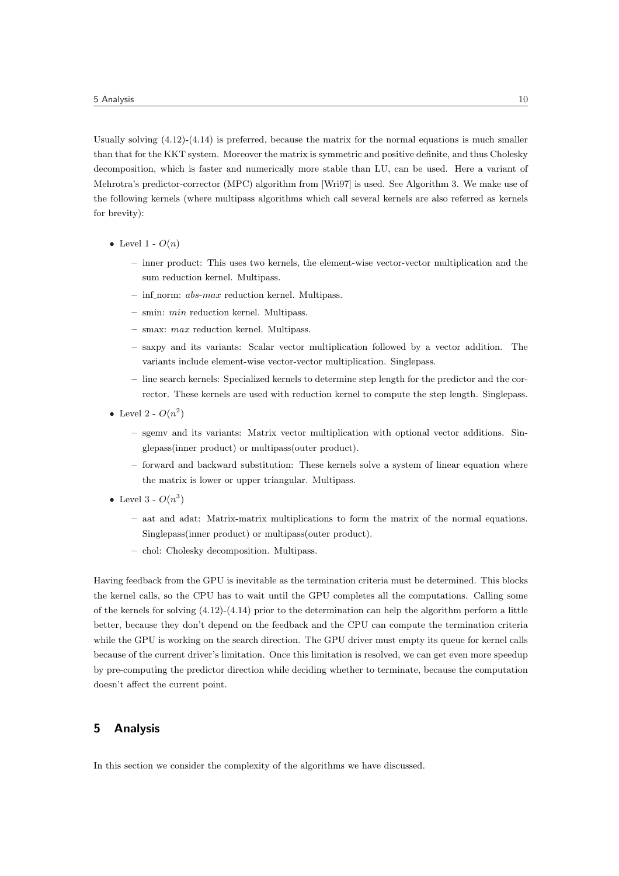Usually solving (4.12)-(4.14) is preferred, because the matrix for the normal equations is much smaller than that for the KKT system. Moreover the matrix is symmetric and positive definite, and thus Cholesky decomposition, which is faster and numerically more stable than LU, can be used. Here a variant of Mehrotra's predictor-corrector (MPC) algorithm from [Wri97] is used. See Algorithm 3. We make use of the following kernels (where multipass algorithms which call several kernels are also referred as kernels for brevity):

- Level 1  $O(n)$ 
	- inner product: This uses two kernels, the element-wise vector-vector multiplication and the sum reduction kernel. Multipass.
	- $-$  inf norm: *abs-max* reduction kernel. Multipass.
	- $-$  smin: *min* reduction kernel. Multipass.
	- smax: max reduction kernel. Multipass.
	- saxpy and its variants: Scalar vector multiplication followed by a vector addition. The variants include element-wise vector-vector multiplication. Singlepass.
	- line search kernels: Specialized kernels to determine step length for the predictor and the corrector. These kernels are used with reduction kernel to compute the step length. Singlepass.
- Level 2  $O(n^2)$ 
	- sgemv and its variants: Matrix vector multiplication with optional vector additions. Singlepass(inner product) or multipass(outer product).
	- forward and backward substitution: These kernels solve a system of linear equation where the matrix is lower or upper triangular. Multipass.
- Level 3  $O(n^3)$ 
	- aat and adat: Matrix-matrix multiplications to form the matrix of the normal equations. Singlepass(inner product) or multipass(outer product).
	- chol: Cholesky decomposition. Multipass.

Having feedback from the GPU is inevitable as the termination criteria must be determined. This blocks the kernel calls, so the CPU has to wait until the GPU completes all the computations. Calling some of the kernels for solving  $(4.12)-(4.14)$  prior to the determination can help the algorithm perform a little better, because they don't depend on the feedback and the CPU can compute the termination criteria while the GPU is working on the search direction. The GPU driver must empty its queue for kernel calls because of the current driver's limitation. Once this limitation is resolved, we can get even more speedup by pre-computing the predictor direction while deciding whether to terminate, because the computation doesn't affect the current point.

#### 5 Analysis

In this section we consider the complexity of the algorithms we have discussed.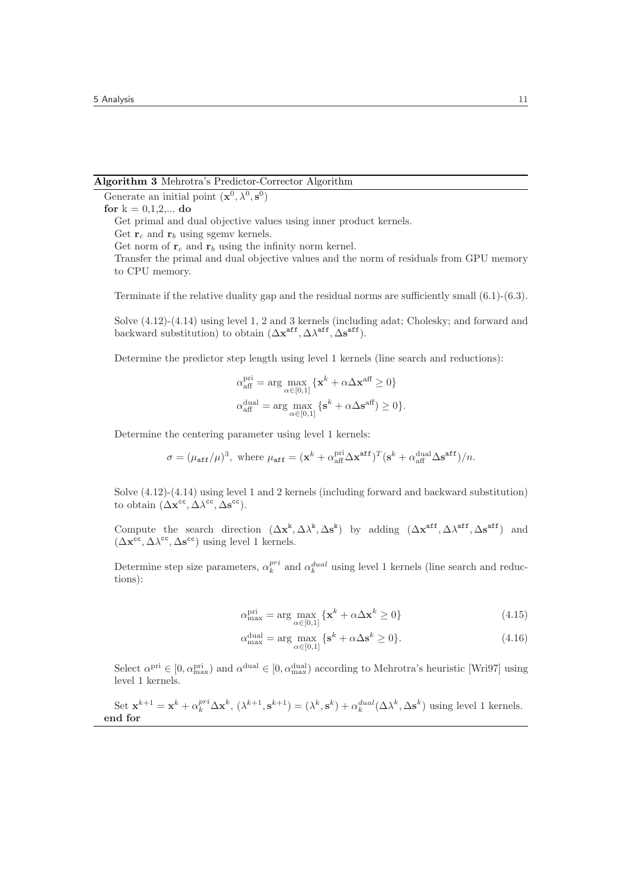#### Algorithm 3 Mehrotra's Predictor-Corrector Algorithm

Generate an initial point  $(\mathbf{x}^0, \lambda^0, \mathbf{s}^0)$ 

#### for  $k = 0, 1, 2, ...$  do

Get primal and dual objective values using inner product kernels.

Get norm of  $r_c$  and  $r_b$  using the infinity norm kernel.

Transfer the primal and dual objective values and the norm of residuals from GPU memory to CPU memory.

Terminate if the relative duality gap and the residual norms are sufficiently small (6.1)-(6.3).

Solve (4.12)-(4.14) using level 1, 2 and 3 kernels (including adat; Cholesky; and forward and backward substitution) to obtain  $(\Delta \mathbf{x}^{\text{aff}}, \Delta \lambda^{\text{aff}}, \Delta \mathbf{s}^{\text{aff}})$ .

Determine the predictor step length using level 1 kernels (line search and reductions):

$$
\begin{aligned} \alpha_{\text{aff}}^{\text{pri}} &= \arg\max_{\alpha\in[0,1]}\left\{\mathbf{x}^k + \alpha\Delta\mathbf{x}^{\text{aff}} \geq 0\right\} \\ \alpha_{\text{aff}}^{\text{dual}} &= \arg\max_{\alpha\in[0,1]}\left\{\mathbf{s}^k + \alpha\Delta\mathbf{s}^{\text{aff}}\right\} \geq 0\right\}. \end{aligned}
$$

Determine the centering parameter using level 1 kernels:

$$
\sigma = (\mu_{\text{aff}}/\mu)^3, \text{ where } \mu_{\text{aff}} = (\mathbf{x}^k + \alpha_{\text{aff}}^{\text{pri}} \Delta \mathbf{x}^{\text{aff}})^T (\mathbf{s}^k + \alpha_{\text{aff}}^{\text{dual}} \Delta \mathbf{s}^{\text{aff}})/n.
$$

Solve (4.12)-(4.14) using level 1 and 2 kernels (including forward and backward substitution) to obtain  $(\Delta \mathbf{x}^{cc}, \Delta \lambda^{cc}, \Delta \mathbf{s}^{cc}).$ 

Compute the search direction  $(\Delta x^k, \Delta \lambda^k, \Delta s^k)$  by adding  $(\Delta x^{\text{aff}}, \Delta \lambda^{\text{aff}}, \Delta s^{\text{aff}})$  and  $(\Delta \mathbf{x}^{\text{cc}}, \Delta \lambda^{\text{cc}}, \Delta \mathbf{s}^{\text{cc}})$  using level 1 kernels.

Determine step size parameters,  $\alpha_k^{pri}$  and  $\alpha_k^{dual}$  using level 1 kernels (line search and reductions):

$$
\alpha_{\max}^{\text{pri}} = \arg \max_{\alpha \in [0,1]} \{ \mathbf{x}^k + \alpha \Delta \mathbf{x}^k \ge 0 \}
$$
\n(4.15)

$$
\alpha_{\text{max}}^{\text{dual}} = \arg \max_{\alpha \in [0,1]} \{ \mathbf{s}^k + \alpha \Delta \mathbf{s}^k \ge 0 \}. \tag{4.16}
$$

Select  $\alpha^{\text{pri}} \in [0, \alpha^{\text{pri}}_{\text{max}})$  and  $\alpha^{\text{dual}} \in [0, \alpha^{\text{dual}}_{\text{max}})$  according to Mehrotra's heuristic [Wri97] using level 1 kernels.

Set 
$$
\mathbf{x}^{k+1} = \mathbf{x}^k + \alpha_k^{pri} \Delta \mathbf{x}^k
$$
,  $(\lambda^{k+1}, \mathbf{s}^{k+1}) = (\lambda^k, \mathbf{s}^k) + \alpha_k^{dual} (\Delta \lambda^k, \Delta \mathbf{s}^k)$  using level 1 kernels.  
end for

Get  $\mathbf{r}_c$  and  $\mathbf{r}_b$  using sgemv kernels.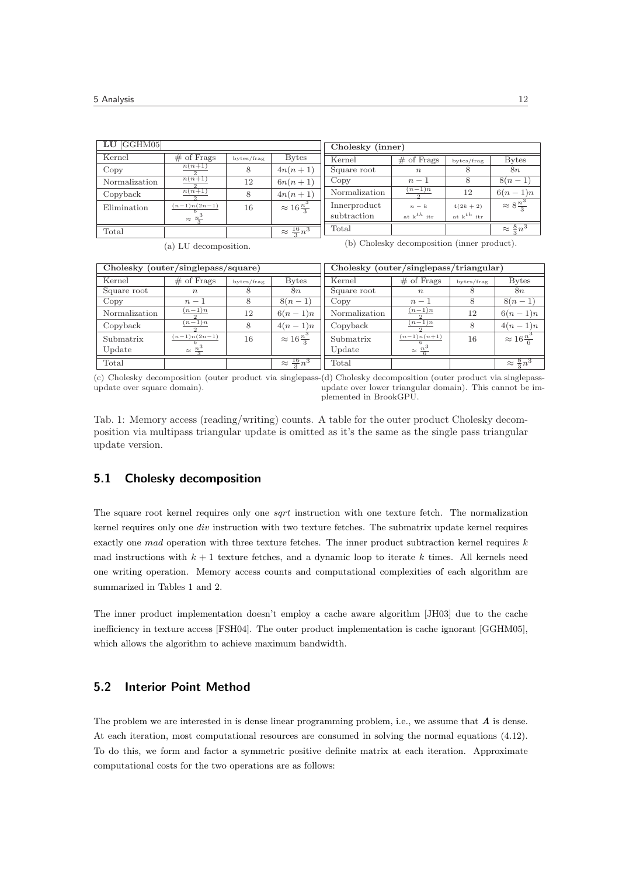| $LU$ [GGHM05] |                          | Cholesky (inner) |                            |               |                  |                 |                          |
|---------------|--------------------------|------------------|----------------------------|---------------|------------------|-----------------|--------------------------|
| Kernel        | $#$ of Frags             | bytes/frag       | <b>Bytes</b>               | Kernel        | $\#$ of Frags    | bytes/frag      | <b>Bytes</b>             |
| Copy          | $n(n+1)$                 |                  | $4n(n+1)$                  | Square root   | $\boldsymbol{n}$ | 8               | 8n                       |
| Normalization | $n(n+1)$                 | 12               | $6n(n+1)$                  | Copy          | $n-1$            | 8               | $8(n-1)$                 |
| Copyback      | $n(n+1)$                 | 8                | $4n(n+1)$                  | Normalization | $(n-1)n$         | 12              | $6(n-1)n$                |
| Elimination   | $\frac{(n-1)n(2n-1)}{n}$ | 16               | $\approx 16 \frac{n^3}{2}$ | Innerproduct  | $n-k$            | $4(2k+2)$       | $\approx 8\frac{n^3}{2}$ |
|               | $\approx \frac{n^3}{3}$  |                  |                            | subtraction   | at $k^{th}$ itr  | at $k^{th}$ itr |                          |
| Total         |                          |                  | $\approx \frac{16}{3}n^3$  | Total         |                  |                 | $\approx \frac{8}{3}n^3$ |

(a) LU decomposition.

(b) Cholesky decomposition (inner product).

| Cholesky (outer/singlepass/square) |                         |            |                            | Cholesky (outer/singlepass/triangular) |                         |            |                            |
|------------------------------------|-------------------------|------------|----------------------------|----------------------------------------|-------------------------|------------|----------------------------|
| Kernel                             | $\#$ of Frags           | bytes/frag | <b>Bytes</b>               | Kernel                                 | $#$ of Frags            | bytes/frag | <b>Bytes</b>               |
| Square root                        | $\boldsymbol{n}$        |            | 8n                         | Square root                            | $\boldsymbol{n}$        |            | <i>8n</i>                  |
| Copy                               | $n-1$                   |            | $8(n-1)$                   | Copy                                   | $n-1$                   | 8          | $8(n-1)$                   |
| Normalization                      | $(n-1)n$                | 12         | $6(n-1)n$                  | Normalization                          | $(n-1)n$                | 12         | $6(n-1)n$                  |
| Copyback                           | $(n-1)n$                |            | $4(n-1)n$                  | Copyback                               | $(n-1)n$                | 8          | $4(n-1)n$                  |
| Submatrix                          | $(n-1)n(2n-1)$          | 16         | $\approx 16 \frac{n^3}{3}$ | Submatrix                              | $(n-1)n(n+1)$           | 16         | $\approx 16 \frac{n^3}{6}$ |
| Update                             | $\approx \frac{n^3}{3}$ |            |                            | Update                                 | $\approx \frac{n^3}{6}$ |            |                            |
| Total                              |                         |            | $\approx \frac{16}{3}n^3$  | Total                                  |                         |            | $\approx \frac{8}{3}n^3$   |

(c) Cholesky decomposition (outer product via singlepass-(d) Cholesky decomposition (outer product via singlepassupdate over square domain). update over lower triangular domain). This cannot be implemented in BrookGPU.

Tab. 1: Memory access (reading/writing) counts. A table for the outer product Cholesky decomposition via multipass triangular update is omitted as it's the same as the single pass triangular update version.

# 5.1 Cholesky decomposition

The square root kernel requires only one *sqrt* instruction with one texture fetch. The normalization kernel requires only one div instruction with two texture fetches. The submatrix update kernel requires exactly one mad operation with three texture fetches. The inner product subtraction kernel requires  $k$ mad instructions with  $k + 1$  texture fetches, and a dynamic loop to iterate k times. All kernels need one writing operation. Memory access counts and computational complexities of each algorithm are summarized in Tables 1 and 2.

The inner product implementation doesn't employ a cache aware algorithm [JH03] due to the cache inefficiency in texture access [FSH04]. The outer product implementation is cache ignorant [GGHM05], which allows the algorithm to achieve maximum bandwidth.

# 5.2 Interior Point Method

The problem we are interested in is dense linear programming problem, i.e., we assume that  $\boldsymbol{A}$  is dense. At each iteration, most computational resources are consumed in solving the normal equations (4.12). To do this, we form and factor a symmetric positive definite matrix at each iteration. Approximate computational costs for the two operations are as follows: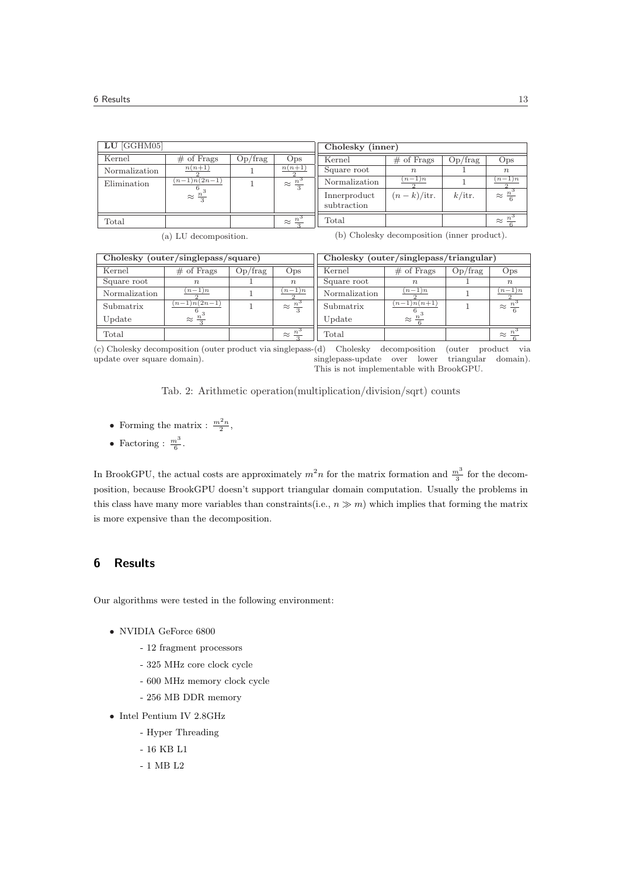| $LU$ [GGHM05] |                         |         |                               | Cholesky (inner)            |                     |           |                         |
|---------------|-------------------------|---------|-------------------------------|-----------------------------|---------------------|-----------|-------------------------|
| Kernel        | $#$ of Frags            | Op/frag | Ops                           | Kernel                      | $#$ of Frags        | Op/frag   | Ops                     |
| Normalization | $n(n+1)$                |         | $n(n+1)$                      | Square root                 | $n_{\rm c}$         |           | $n_{\rm c}$             |
| Elimination   | $(n-1)n(2n-1)$          |         | $\approx \frac{n^3}{3}$       | Normalization               | $(n-1)n$            |           | $(n-1)n$                |
|               | $\approx \frac{n^3}{3}$ |         |                               | Innerproduct<br>subtraction | $(n-k)/\text{itr.}$ | $k/$ itr. | $\approx \frac{n^3}{6}$ |
| Total         |                         |         | $\approx \frac{n^{\circ}}{2}$ | Total                       |                     |           | $\approx$               |

|  |  |  | (a) LU decomposition. |  |
|--|--|--|-----------------------|--|
|--|--|--|-----------------------|--|

(b) Cholesky decomposition (inner product).

| Cholesky (outer/singlepass/square) |                         |         |                         | Cholesky (outer/singlepass/triangular) |                         |         |                         |
|------------------------------------|-------------------------|---------|-------------------------|----------------------------------------|-------------------------|---------|-------------------------|
| Kernel                             | $\#$ of Frags           | Op/frag | Ops                     | Kernel                                 | $\#$ of Frags           | Op/frag | Ops                     |
| Square root                        | $n_{\cdot}$             |         | $\boldsymbol{n}$        | Square root                            | $n_{\rm c}$             |         | $\boldsymbol{n}$        |
| Normalization                      | $(n-1)n$                |         | $(n-1)n$                | Normalization                          | $(n-1)n$                |         | $(n-1)n$                |
| Submatrix                          | $(n-1)n(2n-1)$          |         | $\approx \frac{n^3}{3}$ | Submatrix                              | $(n-1)n(n+1)$           |         | $\approx \frac{n^3}{6}$ |
| Update                             | $\approx \frac{n^3}{2}$ |         |                         | Update                                 | $\approx \frac{n^3}{2}$ |         |                         |
| Total                              |                         |         | $\approx \frac{n^3}{2}$ | Total                                  |                         |         | $\approx \frac{n^3}{2}$ |

(c) Cholesky decomposition (outer product via singlepassupdate over square domain). Cholesky decomposition (outer product via<br>epass-update over lower triangular domain). singlepass-update over lower triangular domain). This is not implementable with BrookGPU.

Tab. 2: Arithmetic operation(multiplication/division/sqrt) counts

- Forming the matrix :  $\frac{m^2 n}{2}$ ,
- Factoring :  $\frac{m^3}{6}$ .

In BrookGPU, the actual costs are approximately  $m^2n$  for the matrix formation and  $\frac{m^3}{3}$  for the decomposition, because BrookGPU doesn't support triangular domain computation. Usually the problems in this class have many more variables than constraints(i.e.,  $n \gg m$ ) which implies that forming the matrix is more expensive than the decomposition.

## 6 Results

Our algorithms were tested in the following environment:

- NVIDIA GeForce 6800
	- 12 fragment processors
	- 325 MHz core clock cycle
	- 600 MHz memory clock cycle
	- 256 MB DDR memory
- Intel Pentium IV 2.8GHz
	- Hyper Threading
	- 16 KB L1
	- 1 MB L2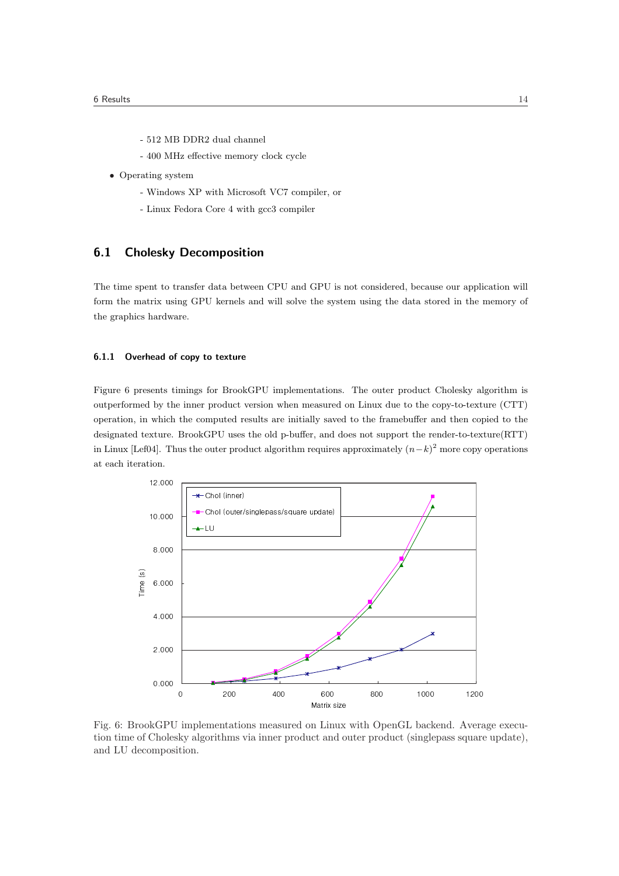- 512 MB DDR2 dual channel
- 400 MHz effective memory clock cycle
- Operating system
	- Windows XP with Microsoft VC7 compiler, or
	- Linux Fedora Core 4 with gcc3 compiler

# 6.1 Cholesky Decomposition

The time spent to transfer data between CPU and GPU is not considered, because our application will form the matrix using GPU kernels and will solve the system using the data stored in the memory of the graphics hardware.

#### 6.1.1 Overhead of copy to texture

Figure 6 presents timings for BrookGPU implementations. The outer product Cholesky algorithm is outperformed by the inner product version when measured on Linux due to the copy-to-texture (CTT) operation, in which the computed results are initially saved to the framebuffer and then copied to the designated texture. BrookGPU uses the old p-buffer, and does not support the render-to-texture(RTT) in Linux [Lef04]. Thus the outer product algorithm requires approximately  $(n-k)^2$  more copy operations at each iteration.



Fig. 6: BrookGPU implementations measured on Linux with OpenGL backend. Average execution time of Cholesky algorithms via inner product and outer product (singlepass square update), and LU decomposition.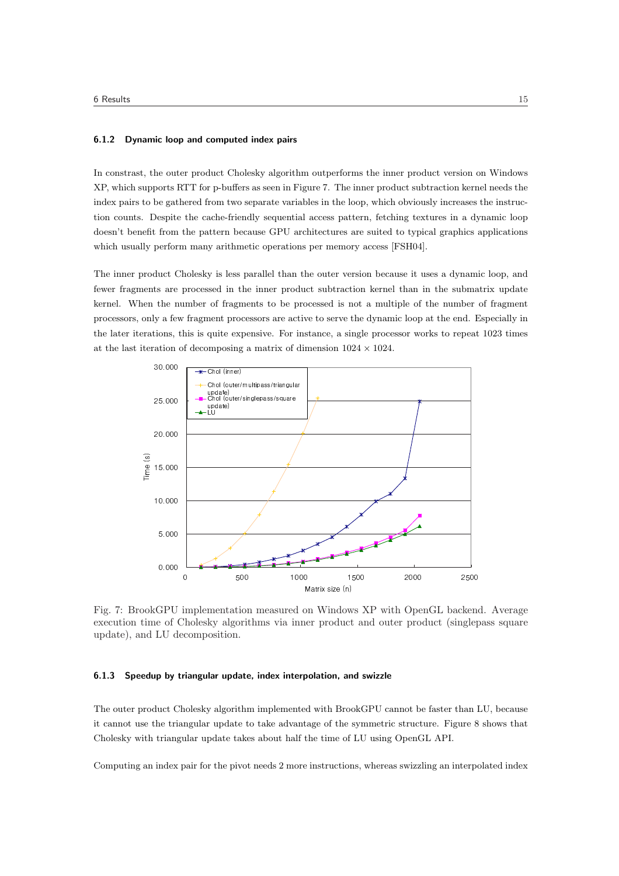#### 6.1.2 Dynamic loop and computed index pairs

In constrast, the outer product Cholesky algorithm outperforms the inner product version on Windows XP, which supports RTT for p-buffers as seen in Figure 7. The inner product subtraction kernel needs the index pairs to be gathered from two separate variables in the loop, which obviously increases the instruction counts. Despite the cache-friendly sequential access pattern, fetching textures in a dynamic loop doesn't benefit from the pattern because GPU architectures are suited to typical graphics applications which usually perform many arithmetic operations per memory access [FSH04].

The inner product Cholesky is less parallel than the outer version because it uses a dynamic loop, and fewer fragments are processed in the inner product subtraction kernel than in the submatrix update kernel. When the number of fragments to be processed is not a multiple of the number of fragment processors, only a few fragment processors are active to serve the dynamic loop at the end. Especially in the later iterations, this is quite expensive. For instance, a single processor works to repeat 1023 times at the last iteration of decomposing a matrix of dimension  $1024 \times 1024$ .



Fig. 7: BrookGPU implementation measured on Windows XP with OpenGL backend. Average execution time of Cholesky algorithms via inner product and outer product (singlepass square update), and LU decomposition.

#### 6.1.3 Speedup by triangular update, index interpolation, and swizzle

The outer product Cholesky algorithm implemented with BrookGPU cannot be faster than LU, because it cannot use the triangular update to take advantage of the symmetric structure. Figure 8 shows that Cholesky with triangular update takes about half the time of LU using OpenGL API.

Computing an index pair for the pivot needs 2 more instructions, whereas swizzling an interpolated index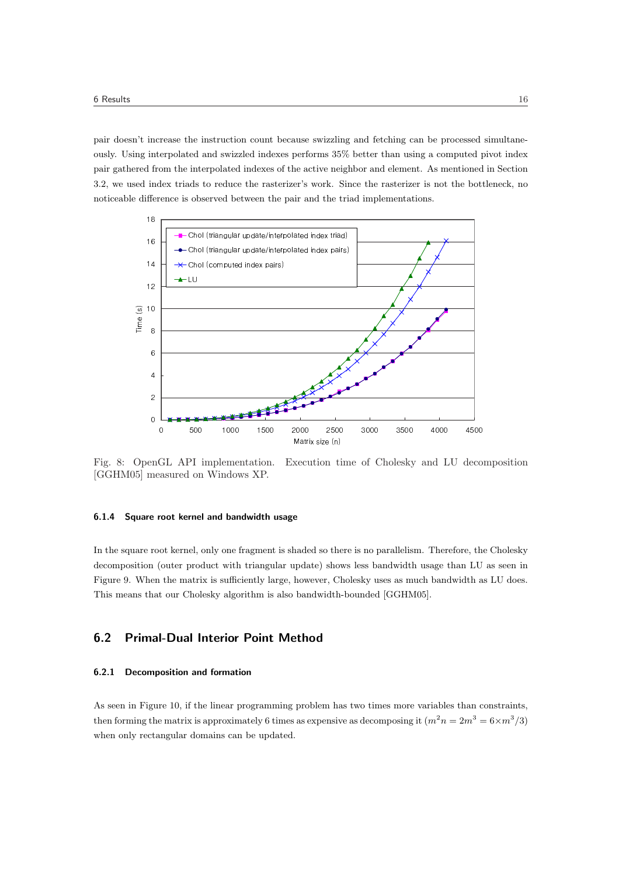pair doesn't increase the instruction count because swizzling and fetching can be processed simultaneously. Using interpolated and swizzled indexes performs 35% better than using a computed pivot index pair gathered from the interpolated indexes of the active neighbor and element. As mentioned in Section 3.2, we used index triads to reduce the rasterizer's work. Since the rasterizer is not the bottleneck, no noticeable difference is observed between the pair and the triad implementations.



Fig. 8: OpenGL API implementation. Execution time of Cholesky and LU decomposition [GGHM05] measured on Windows XP.

#### 6.1.4 Square root kernel and bandwidth usage

In the square root kernel, only one fragment is shaded so there is no parallelism. Therefore, the Cholesky decomposition (outer product with triangular update) shows less bandwidth usage than LU as seen in Figure 9. When the matrix is sufficiently large, however, Cholesky uses as much bandwidth as LU does. This means that our Cholesky algorithm is also bandwidth-bounded [GGHM05].

# 6.2 Primal-Dual Interior Point Method

#### 6.2.1 Decomposition and formation

As seen in Figure 10, if the linear programming problem has two times more variables than constraints, then forming the matrix is approximately 6 times as expensive as decomposing it  $(m^2 n = 2m^3 = 6 \times m^3/3)$ when only rectangular domains can be updated.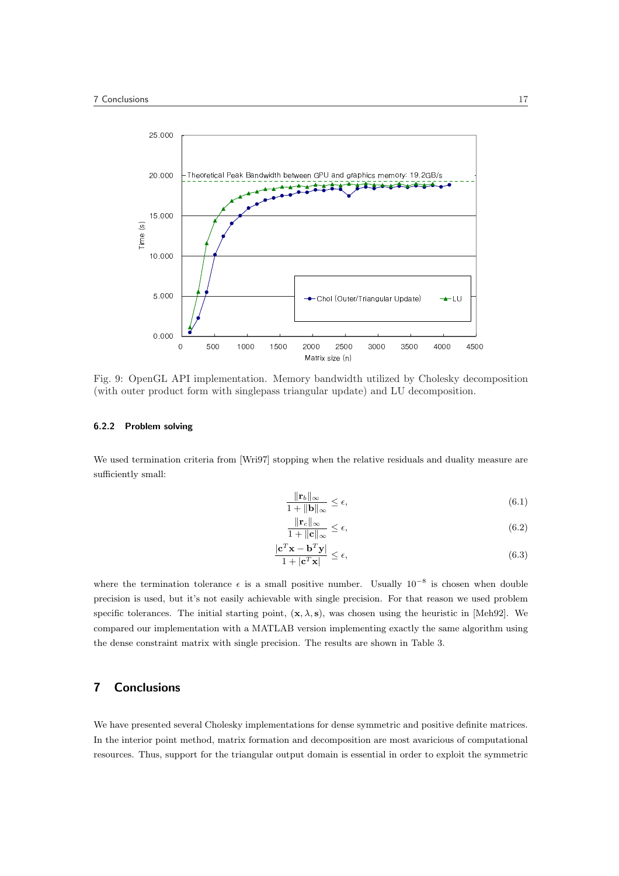

Fig. 9: OpenGL API implementation. Memory bandwidth utilized by Cholesky decomposition (with outer product form with singlepass triangular update) and LU decomposition.

## 6.2.2 Problem solving

We used termination criteria from [Wri97] stopping when the relative residuals and duality measure are sufficiently small:

$$
\frac{\|\mathbf{r}_b\|_{\infty}}{1 + \|\mathbf{b}\|_{\infty}} \le \epsilon,\tag{6.1}
$$

$$
\frac{\|\mathbf{r}_c\|_{\infty}}{1 + \|\mathbf{c}\|_{\infty}} \le \epsilon,\tag{6.2}
$$

$$
\frac{|\mathbf{c}^T \mathbf{x} - \mathbf{b}^T \mathbf{y}|}{1 + |\mathbf{c}^T \mathbf{x}|} \le \epsilon,\tag{6.3}
$$

where the termination tolerance  $\epsilon$  is a small positive number. Usually  $10^{-8}$  is chosen when double precision is used, but it's not easily achievable with single precision. For that reason we used problem specific tolerances. The initial starting point,  $(x, \lambda, s)$ , was chosen using the heuristic in [Meh92]. We compared our implementation with a MATLAB version implementing exactly the same algorithm using the dense constraint matrix with single precision. The results are shown in Table 3.

## 7 Conclusions

We have presented several Cholesky implementations for dense symmetric and positive definite matrices. In the interior point method, matrix formation and decomposition are most avaricious of computational resources. Thus, support for the triangular output domain is essential in order to exploit the symmetric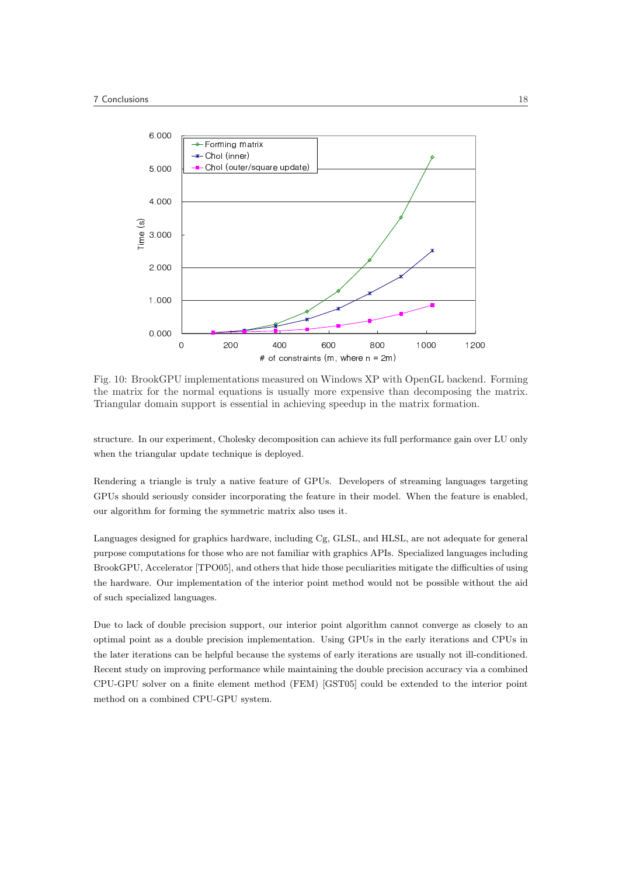

Fig. 10: BrookGPU implementations measured on Windows XP with OpenGL backend. Forming the matrix for the normal equations is usually more expensive than decomposing the matrix. Triangular domain support is essential in achieving speedup in the matrix formation.

structure. In our experiment, Cholesky decomposition can achieve its full performance gain over LU only when the triangular update technique is deployed.

Rendering a triangle is truly a native feature of GPUs. Developers of streaming languages targeting GPUs should seriously consider incorporating the feature in their model. When the feature is enabled, our algorithm for forming the symmetric matrix also uses it.

Languages designed for graphics hardware, including Cg, GLSL, and HLSL, are not adequate for general purpose computations for those who are not familiar with graphics APIs. Specialized languages including BrookGPU, Accelerator [TPO05], and others that hide those peculiarities mitigate the difficulties of using the hardware. Our implementation of the interior point method would not be possible without the aid of such specialized languages.

Due to lack of double precision support, our interior point algorithm cannot converge as closely to an optimal point as a double precision implementation. Using GPUs in the early iterations and CPUs in the later iterations can be helpful because the systems of early iterations are usually not ill-conditioned. Recent study on improving performance while maintaining the double precision accuracy via a combined CPU-GPU solver on a finite element method (FEM) [GST05] could be extended to the interior point method on a combined CPU-GPU system.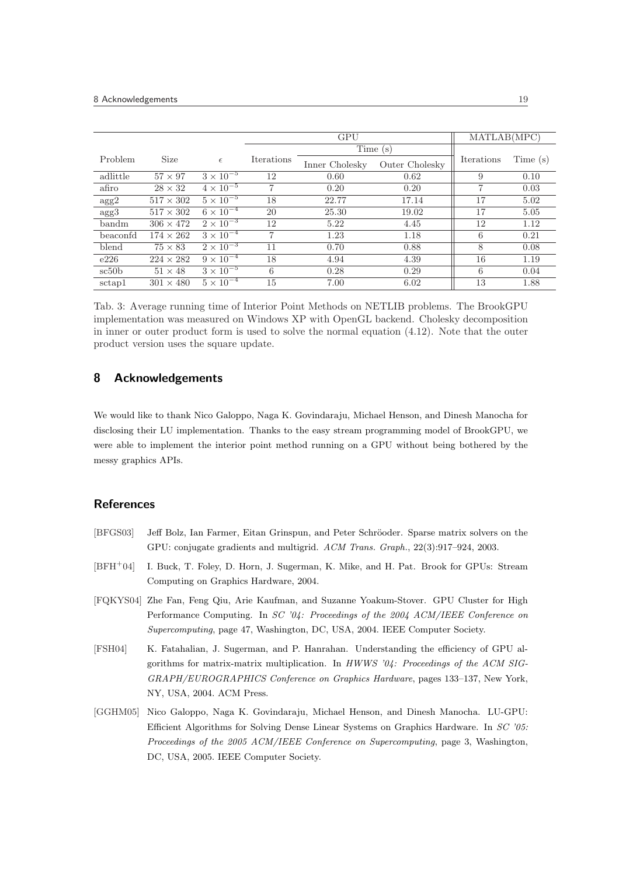|             |                  |                               |                   | <b>GPU</b>     | MATLAB(MPC)    |            |         |
|-------------|------------------|-------------------------------|-------------------|----------------|----------------|------------|---------|
|             |                  |                               |                   |                | Time (s)       |            |         |
| Problem     | Size             | $\epsilon$                    | <b>Iterations</b> | Inner Cholesky | Outer Cholesky | Iterations | Time(s) |
| adlittle    | $57 \times 97$   | $3 \times 10^{-5}$            | 12                | 0.60           | 0.62           | 9          | 0.10    |
| afiro       | $28 \times 32$   | $4 \times 10^{-5}$            | 7                 | 0.20           | 0.20           | 7          | 0.03    |
| $\rm{agg2}$ | $517 \times 302$ | $5 \times 10^{-5}$            | 18                | 22.77          | 17.14          | 17         | 5.02    |
| $\rm{agg}3$ | $517 \times 302$ | $6 \times \overline{10^{-4}}$ | 20                | 25.30          | 19.02          | 17         | 5.05    |
| bandm       | $306 \times 472$ | $2 \times 10^{-3}$            | 12                | 5.22           | 4.45           | 12         | 1.12    |
| beaconfd    | $174 \times 262$ | $3 \times 10^{-4}$            | 7                 | 1.23           | 1.18           | 6          | 0.21    |
| blend       | $75 \times 83$   | $2 \times 10^{-3}$            | 11                | 0.70           | 0.88           | 8          | 0.08    |
| e226        | $224 \times 282$ | $9 \times 10^{-4}$            | 18                | 4.94           | 4.39           | 16         | 1.19    |
| sc50b       | $51 \times 48$   | $3 \times 10^{-5}$            | 6                 | 0.28           | 0.29           | 6          | 0.04    |
| sctap1      | $301 \times 480$ | $5 \times 10^{-4}$            | 15                | 7.00           | 6.02           | 13         | 1.88    |

Tab. 3: Average running time of Interior Point Methods on NETLIB problems. The BrookGPU implementation was measured on Windows XP with OpenGL backend. Cholesky decomposition in inner or outer product form is used to solve the normal equation (4.12). Note that the outer product version uses the square update.

## 8 Acknowledgements

We would like to thank Nico Galoppo, Naga K. Govindaraju, Michael Henson, and Dinesh Manocha for disclosing their LU implementation. Thanks to the easy stream programming model of BrookGPU, we were able to implement the interior point method running on a GPU without being bothered by the messy graphics APIs.

## References

- [BFGS03] Jeff Bolz, Ian Farmer, Eitan Grinspun, and Peter Schröoder. Sparse matrix solvers on the GPU: conjugate gradients and multigrid. ACM Trans. Graph., 22(3):917–924, 2003.
- [BFH<sup>+</sup>04] I. Buck, T. Foley, D. Horn, J. Sugerman, K. Mike, and H. Pat. Brook for GPUs: Stream Computing on Graphics Hardware, 2004.
- [FQKYS04] Zhe Fan, Feng Qiu, Arie Kaufman, and Suzanne Yoakum-Stover. GPU Cluster for High Performance Computing. In SC '04: Proceedings of the 2004 ACM/IEEE Conference on Supercomputing, page 47, Washington, DC, USA, 2004. IEEE Computer Society.
- [FSH04] K. Fatahalian, J. Sugerman, and P. Hanrahan. Understanding the efficiency of GPU algorithms for matrix-matrix multiplication. In HWWS '04: Proceedings of the ACM SIG-GRAPH/EUROGRAPHICS Conference on Graphics Hardware, pages 133–137, New York, NY, USA, 2004. ACM Press.
- [GGHM05] Nico Galoppo, Naga K. Govindaraju, Michael Henson, and Dinesh Manocha. LU-GPU: Efficient Algorithms for Solving Dense Linear Systems on Graphics Hardware. In SC '05: Proceedings of the 2005 ACM/IEEE Conference on Supercomputing, page 3, Washington, DC, USA, 2005. IEEE Computer Society.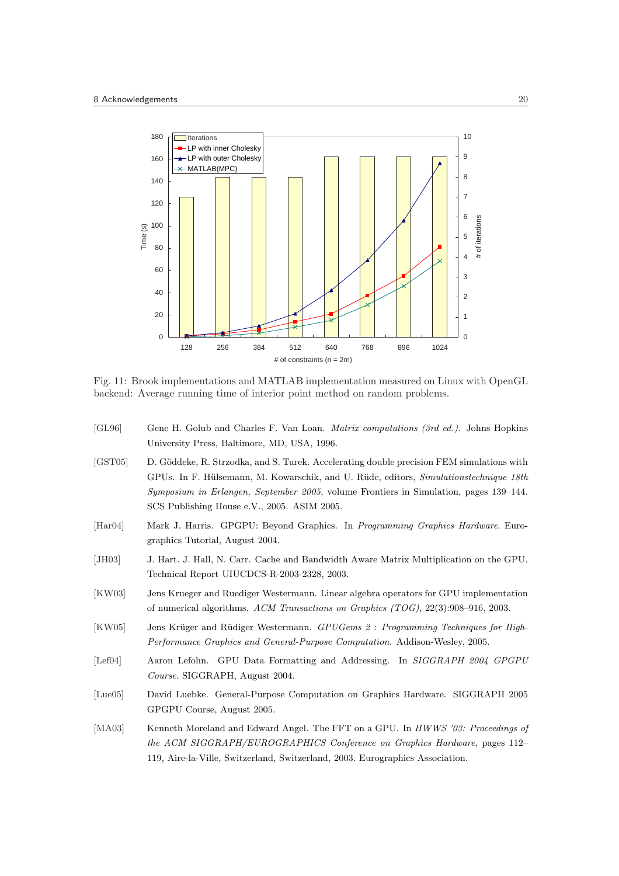

Fig. 11: Brook implementations and MATLAB implementation measured on Linux with OpenGL backend: Average running time of interior point method on random problems.

- [GL96] Gene H. Golub and Charles F. Van Loan. Matrix computations (3rd ed.). Johns Hopkins University Press, Baltimore, MD, USA, 1996.
- [GST05] D. Göddeke, R. Strzodka, and S. Turek. Accelerating double precision FEM simulations with GPUs. In F. Hülsemann, M. Kowarschik, and U. Rüde, editors, Simulationstechnique 18th Symposium in Erlangen, September 2005, volume Frontiers in Simulation, pages 139–144. SCS Publishing House e.V., 2005. ASIM 2005.
- [Har04] Mark J. Harris. GPGPU: Beyond Graphics. In Programming Graphics Hardware. Eurographics Tutorial, August 2004.
- [JH03] J. Hart. J. Hall, N. Carr. Cache and Bandwidth Aware Matrix Multiplication on the GPU. Technical Report UIUCDCS-R-2003-2328, 2003.
- [KW03] Jens Krueger and Ruediger Westermann. Linear algebra operators for GPU implementation of numerical algorithms. ACM Transactions on Graphics (TOG), 22(3):908–916, 2003.
- [KW05] Jens Krüger and Rüdiger Westermann. GPUGems 2 : Programming Techniques for High-Performance Graphics and General-Purpose Computation. Addison-Wesley, 2005.
- [Lef04] Aaron Lefohn. GPU Data Formatting and Addressing. In SIGGRAPH 2004 GPGPU Course. SIGGRAPH, August 2004.
- [Lue05] David Luebke. General-Purpose Computation on Graphics Hardware. SIGGRAPH 2005 GPGPU Course, August 2005.
- [MA03] Kenneth Moreland and Edward Angel. The FFT on a GPU. In HWWS '03: Proceedings of the ACM SIGGRAPH/EUROGRAPHICS Conference on Graphics Hardware, pages 112– 119, Aire-la-Ville, Switzerland, Switzerland, 2003. Eurographics Association.